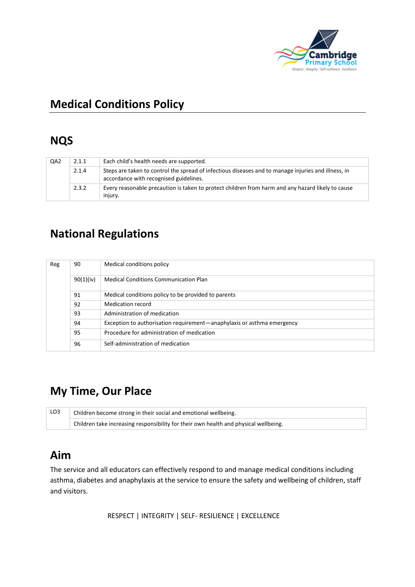

# **Medical Conditions Policy**

### **NQS**

| QA2 | 2.1.1 | Each child's health needs are supported.                                                                                                      |
|-----|-------|-----------------------------------------------------------------------------------------------------------------------------------------------|
|     | 2.1.4 | Steps are taken to control the spread of infectious diseases and to manage injuries and illness, in<br>accordance with recognised guidelines. |
|     | 2.3.2 | Every reasonable precaution is taken to protect children from harm and any hazard likely to cause<br>injury.                                  |

# **National Regulations**

| Reg | 90        | Medical conditions policy                                              |
|-----|-----------|------------------------------------------------------------------------|
|     | 90(1)(iv) | <b>Medical Conditions Communication Plan</b>                           |
|     | 91        | Medical conditions policy to be provided to parents                    |
|     | 92        | Medication record                                                      |
|     | 93        | Administration of medication                                           |
|     | 94        | Exception to authorisation requirement—anaphylaxis or asthma emergency |
|     | 95        | Procedure for administration of medication                             |
|     | 96        | Self-administration of medication                                      |

# **My Time, Our Place**

| LO3 | Children become strong in their social and emotional wellbeing.                      |  |
|-----|--------------------------------------------------------------------------------------|--|
|     | Children take increasing responsibility for their own health and physical wellbeing. |  |

### **Aim**

The service and all educators can effectively respond to and manage medical conditions including asthma, diabetes and anaphylaxis at the service to ensure the safety and wellbeing of children, staff and visitors.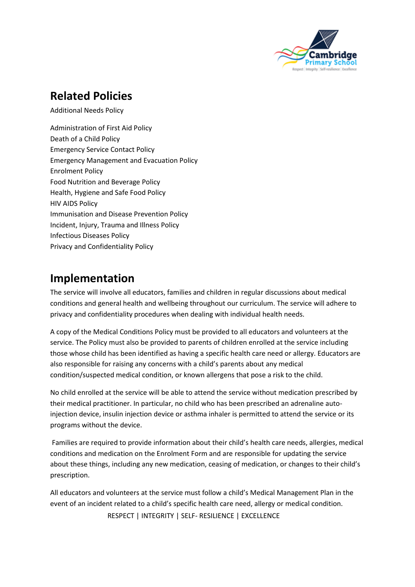

# **Related Policies**

Additional Needs Policy

Administration of First Aid Policy Death of a Child Policy Emergency Service Contact Policy Emergency Management and Evacuation Policy Enrolment Policy Food Nutrition and Beverage Policy Health, Hygiene and Safe Food Policy HIV AIDS Policy Immunisation and Disease Prevention Policy Incident, Injury, Trauma and Illness Policy Infectious Diseases Policy Privacy and Confidentiality Policy

## **Implementation**

The service will involve all educators, families and children in regular discussions about medical conditions and general health and wellbeing throughout our curriculum. The service will adhere to privacy and confidentiality procedures when dealing with individual health needs.

A copy of the Medical Conditions Policy must be provided to all educators and volunteers at the service. The Policy must also be provided to parents of children enrolled at the service including those whose child has been identified as having a specific health care need or allergy. Educators are also responsible for raising any concerns with a child's parents about any medical condition/suspected medical condition, or known allergens that pose a risk to the child.

No child enrolled at the service will be able to attend the service without medication prescribed by their medical practitioner. In particular, no child who has been prescribed an adrenaline autoinjection device, insulin injection device or asthma inhaler is permitted to attend the service or its programs without the device.

Families are required to provide information about their child's health care needs, allergies, medical conditions and medication on the Enrolment Form and are responsible for updating the service about these things, including any new medication, ceasing of medication, or changes to their child's prescription.

 RESPECT | INTEGRITY | SELF- RESILIENCE | EXCELLENCE All educators and volunteers at the service must follow a child's Medical Management Plan in the event of an incident related to a child's specific health care need, allergy or medical condition.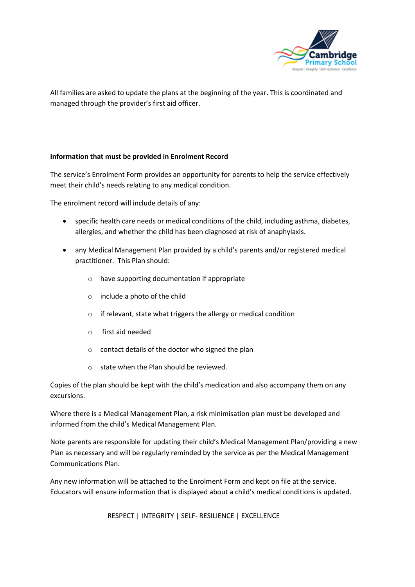

All families are asked to update the plans at the beginning of the year. This is coordinated and managed through the provider's first aid officer.

#### **Information that must be provided in Enrolment Record**

The service's Enrolment Form provides an opportunity for parents to help the service effectively meet their child's needs relating to any medical condition.

The enrolment record will include details of any:

- specific health care needs or medical conditions of the child, including asthma, diabetes, allergies, and whether the child has been diagnosed at risk of anaphylaxis.
- any Medical Management Plan provided by a child's parents and/or registered medical practitioner. This Plan should:
	- o have supporting documentation if appropriate
	- o include a photo of the child
	- o if relevant, state what triggers the allergy or medical condition
	- o first aid needed
	- o contact details of the doctor who signed the plan
	- o state when the Plan should be reviewed.

Copies of the plan should be kept with the child's medication and also accompany them on any excursions.

Where there is a Medical Management Plan, a risk minimisation plan must be developed and informed from the child's Medical Management Plan.

Note parents are responsible for updating their child's Medical Management Plan/providing a new Plan as necessary and will be regularly reminded by the service as per the Medical Management Communications Plan.

Any new information will be attached to the Enrolment Form and kept on file at the service. Educators will ensure information that is displayed about a child's medical conditions is updated.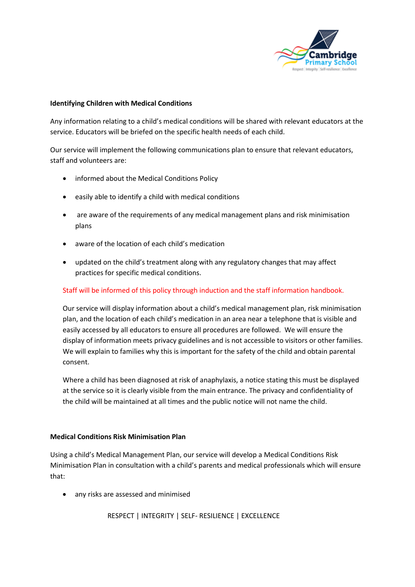

#### **Identifying Children with Medical Conditions**

Any information relating to a child's medical conditions will be shared with relevant educators at the service. Educators will be briefed on the specific health needs of each child.

Our service will implement the following communications plan to ensure that relevant educators, staff and volunteers are:

- informed about the Medical Conditions Policy
- easily able to identify a child with medical conditions
- are aware of the requirements of any medical management plans and risk minimisation plans
- aware of the location of each child's medication
- updated on the child's treatment along with any regulatory changes that may affect practices for specific medical conditions.

#### Staff will be informed of this policy through induction and the staff information handbook.

Our service will display information about a child's medical management plan, risk minimisation plan, and the location of each child's medication in an area near a telephone that is visible and easily accessed by all educators to ensure all procedures are followed. We will ensure the display of information meets privacy guidelines and is not accessible to visitors or other families. We will explain to families why this is important for the safety of the child and obtain parental consent.

Where a child has been diagnosed at risk of anaphylaxis, a notice stating this must be displayed at the service so it is clearly visible from the main entrance. The privacy and confidentiality of the child will be maintained at all times and the public notice will not name the child.

#### **Medical Conditions Risk Minimisation Plan**

Using a child's Medical Management Plan, our service will develop a Medical Conditions Risk Minimisation Plan in consultation with a child's parents and medical professionals which will ensure that:

• any risks are assessed and minimised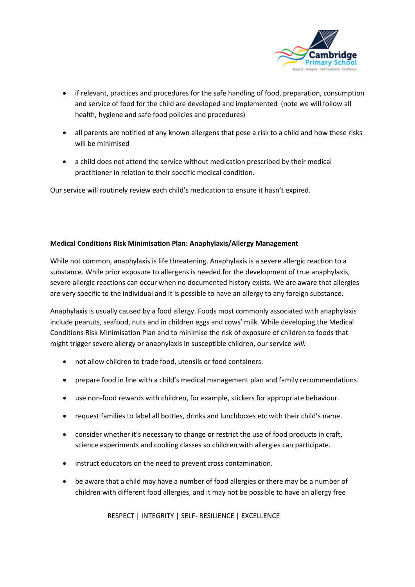

- if relevant, practices and procedures for the safe handling of food, preparation, consumption and service of food for the child are developed and implemented (note we will follow all health, hygiene and safe food policies and procedures)
- all parents are notified of any known allergens that pose a risk to a child and how these risks will be minimised
- a child does not attend the service without medication prescribed by their medical practitioner in relation to their specific medical condition.

Our service will routinely review each child's medication to ensure it hasn't expired.

#### **Medical Conditions Risk Minimisation Plan: Anaphylaxis/Allergy Management**

While not common, anaphylaxis is life threatening. Anaphylaxis is a severe allergic reaction to a substance. While prior exposure to allergens is needed for the development of true anaphylaxis, severe allergic reactions can occur when no documented history exists. We are aware that allergies are very specific to the individual and it is possible to have an allergy to any foreign substance.

Anaphylaxis is usually caused by a food allergy. Foods most commonly associated with anaphylaxis include peanuts, seafood, nuts and in children eggs and cows' milk. While developing the Medical Conditions Risk Minimisation Plan and to minimise the risk of exposure of children to foods that might trigger severe allergy or anaphylaxis in susceptible children, our service *will:*

- not allow children to trade food, utensils or food containers.
- prepare food in line with a child's medical management plan and family recommendations.
- use non-food rewards with children, for example, stickers for appropriate behaviour.
- request families to label all bottles, drinks and lunchboxes etc with their child's name.
- consider whether it's necessary to change or restrict the use of food products in craft, science experiments and cooking classes so children with allergies can participate.
- instruct educators on the need to prevent cross contamination.
- be aware that a child may have a number of food allergies or there may be a number of children with different food allergies, and it may not be possible to have an allergy free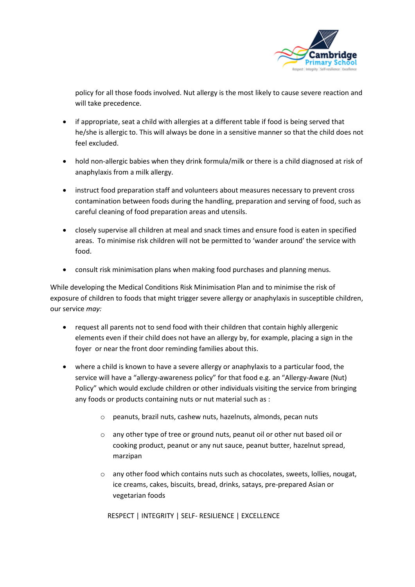

policy for all those foods involved. Nut allergy is the most likely to cause severe reaction and will take precedence.

- if appropriate, seat a child with allergies at a different table if food is being served that he/she is allergic to. This will always be done in a sensitive manner so that the child does not feel excluded.
- hold non-allergic babies when they drink formula/milk or there is a child diagnosed at risk of anaphylaxis from a milk allergy.
- instruct food preparation staff and volunteers about measures necessary to prevent cross contamination between foods during the handling, preparation and serving of food, such as careful cleaning of food preparation areas and utensils.
- closely supervise all children at meal and snack times and ensure food is eaten in specified areas. To minimise risk children will not be permitted to 'wander around' the service with food.
- consult risk minimisation plans when making food purchases and planning menus.

While developing the Medical Conditions Risk Minimisation Plan and to minimise the risk of exposure of children to foods that might trigger severe allergy or anaphylaxis in susceptible children, our service *may:*

- request all parents not to send food with their children that contain highly allergenic elements even if their child does not have an allergy by, for example, placing a sign in the foyer or near the front door reminding families about this.
- where a child is known to have a severe allergy or anaphylaxis to a particular food, the service will have a "allergy-awareness policy" for that food e.g. an "Allergy-Aware (Nut) Policy" which would exclude children or other individuals visiting the service from bringing any foods or products containing nuts or nut material such as :
	- o peanuts, brazil nuts, cashew nuts, hazelnuts, almonds, pecan nuts
	- o any other type of tree or ground nuts, peanut oil or other nut based oil or cooking product, peanut or any nut sauce, peanut butter, hazelnut spread, marzipan
	- o any other food which contains nuts such as chocolates, sweets, lollies, nougat, ice creams, cakes, biscuits, bread, drinks, satays, pre-prepared Asian or vegetarian foods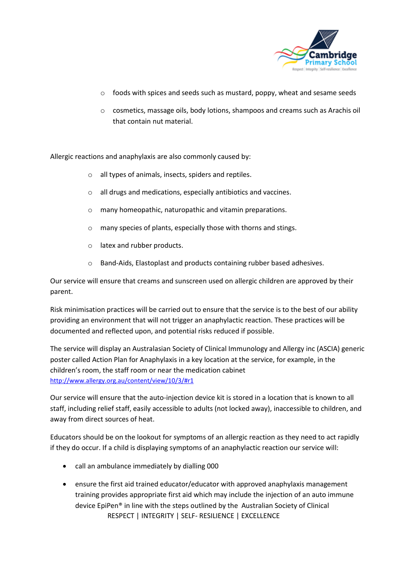

- $\circ$  foods with spices and seeds such as mustard, poppy, wheat and sesame seeds
- o cosmetics, massage oils, body lotions, shampoos and creams such as Arachis oil that contain nut material.

Allergic reactions and anaphylaxis are also commonly caused by:

- o all types of animals, insects, spiders and reptiles.
- o all drugs and medications, especially antibiotics and vaccines.
- o many homeopathic, naturopathic and vitamin preparations.
- o many species of plants, especially those with thorns and stings.
- o latex and rubber products.
- o Band-Aids, Elastoplast and products containing rubber based adhesives.

Our service will ensure that creams and sunscreen used on allergic children are approved by their parent.

Risk minimisation practices will be carried out to ensure that the service is to the best of our ability providing an environment that will not trigger an anaphylactic reaction. These practices will be documented and reflected upon, and potential risks reduced if possible.

The service will display an Australasian Society of Clinical Immunology and Allergy inc (ASCIA) generic poster called Action Plan for Anaphylaxis in a key location at the service, for example, in the children's room, the staff room or near the medication cabinet <http://www.allergy.org.au/content/view/10/3/#r1>

Our service will ensure that the auto-injection device kit is stored in a location that is known to all staff, including relief staff, easily accessible to adults (not locked away), inaccessible to children, and away from direct sources of heat.

Educators should be on the lookout for symptoms of an allergic reaction as they need to act rapidly if they do occur. If a child is displaying symptoms of an anaphylactic reaction our service will:

- call an ambulance immediately by dialling 000
- RESPECT | INTEGRITY | SELF- RESILIENCE | EXCELLENCE • ensure the first aid trained educator/educator with approved anaphylaxis management training provides appropriate first aid which may include the injection of an auto immune device EpiPen® in line with the steps outlined by the Australian Society of Clinical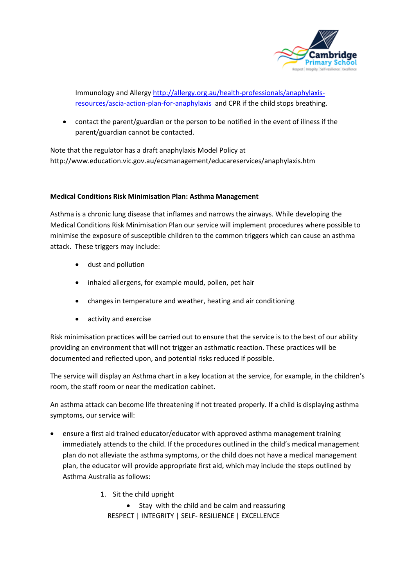

Immunology and Allergy [http://allergy.org.au/health-professionals/anaphylaxis](http://allergy.org.au/health-professionals/anaphylaxis-resources/ascia-action-plan-for-anaphylaxis)[resources/ascia-action-plan-for-anaphylaxis](http://allergy.org.au/health-professionals/anaphylaxis-resources/ascia-action-plan-for-anaphylaxis) and CPR if the child stops breathing.

• contact the parent/guardian or the person to be notified in the event of illness if the parent/guardian cannot be contacted.

Note that the regulator has a draft anaphylaxis Model Policy at <http://www.education.vic.gov.au/ecsmanagement/educareservices/anaphylaxis.htm>

#### **Medical Conditions Risk Minimisation Plan: Asthma Management**

Asthma is a chronic lung disease that inflames and narrows the airways. While developing the Medical Conditions Risk Minimisation Plan our service will implement procedures where possible to minimise the exposure of susceptible children to the common triggers which can cause an asthma attack. These triggers may include:

- dust and pollution
- inhaled allergens, for example mould, pollen, pet hair
- changes in temperature and weather, heating and air conditioning
- activity and exercise

Risk minimisation practices will be carried out to ensure that the service is to the best of our ability providing an environment that will not trigger an asthmatic reaction. These practices will be documented and reflected upon, and potential risks reduced if possible.

The service will display an Asthma chart in a key location at the service, for example, in the children's room, the staff room or near the medication cabinet.

An asthma attack can become life threatening if not treated properly. If a child is displaying asthma symptoms, our service will:

- ensure a first aid trained educator/educator with approved asthma management training immediately attends to the child. If the procedures outlined in the child's medical management plan do not alleviate the asthma symptoms, or the child does not have a medical management plan, the educator will provide appropriate first aid, which may include the steps outlined by Asthma Australia as follows:
	- 1. Sit the child upright

 RESPECT | INTEGRITY | SELF- RESILIENCE | EXCELLENCE • Stay with the child and be calm and reassuring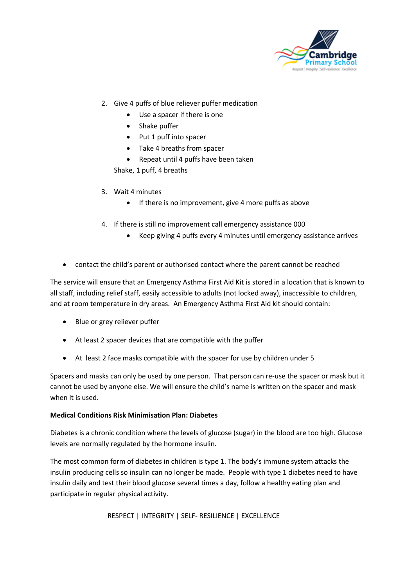

- 2. Give 4 puffs of blue reliever puffer medication
	- Use a spacer if there is one
	- Shake puffer
	- Put 1 puff into spacer
	- Take 4 breaths from spacer
	- Repeat until 4 puffs have been taken

Shake, 1 puff, 4 breaths

- 3. Wait 4 minutes
	- If there is no improvement, give 4 more puffs as above
- 4. If there is still no improvement call emergency assistance 000
	- Keep giving 4 puffs every 4 minutes until emergency assistance arrives
- contact the child's parent or authorised contact where the parent cannot be reached

The service will ensure that an Emergency Asthma First Aid Kit is stored in a location that is known to all staff, including relief staff, easily accessible to adults (not locked away), inaccessible to children, and at room temperature in dry areas. An Emergency Asthma First Aid kit should contain:

- Blue or grey reliever puffer
- At least 2 spacer devices that are compatible with the puffer
- At least 2 face masks compatible with the spacer for use by children under 5

Spacers and masks can only be used by one person. That person can re-use the spacer or mask but it cannot be used by anyone else. We will ensure the child's name is written on the spacer and mask when it is used.

#### **Medical Conditions Risk Minimisation Plan: Diabetes**

Diabetes is a chronic condition where the levels of glucose (sugar) in the blood are too high. Glucose levels are normally regulated by the hormone insulin.

The most common form of diabetes in children is type 1. The body's immune system attacks the insulin producing cells so insulin can no longer be made. People with type 1 diabetes need to have insulin daily and test their blood glucose several times a day, follow a healthy eating plan and participate in regular physical activity.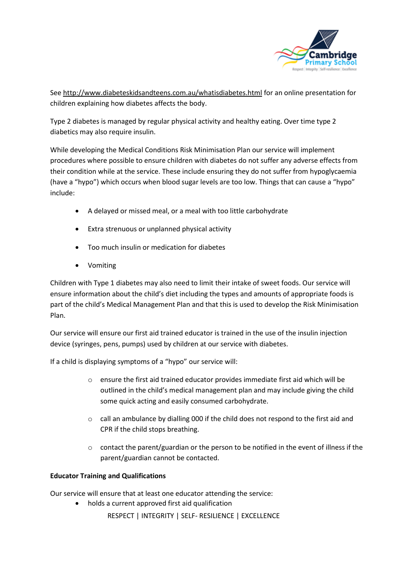

Se[e http://www.diabeteskidsandteens.com.au/whatisdiabetes.html](http://www.diabeteskidsandteens.com.au/whatisdiabetes.html) for an online presentation for children explaining how diabetes affects the body.

Type 2 diabetes is managed by regular physical activity and healthy eating. Over time type 2 diabetics may also require insulin.

While developing the Medical Conditions Risk Minimisation Plan our service will implement procedures where possible to ensure children with diabetes do not suffer any adverse effects from their condition while at the service. These include ensuring they do not suffer from hypoglycaemia (have a "hypo") which occurs when blood sugar levels are too low. Things that can cause a "hypo" include:

- A delayed or missed meal, or a meal with too little carbohydrate
- Extra strenuous or unplanned physical activity
- Too much insulin or medication for diabetes
- Vomiting

Children with Type 1 diabetes may also need to limit their intake of sweet foods. Our service will ensure information about the child's diet including the types and amounts of appropriate foods is part of the child's Medical Management Plan and that this is used to develop the Risk Minimisation Plan.

Our service will ensure our first aid trained educator is trained in the use of the insulin injection device (syringes, pens, pumps) used by children at our service with diabetes.

If a child is displaying symptoms of a "hypo" our service will:

- $\circ$  ensure the first aid trained educator provides immediate first aid which will be outlined in the child's medical management plan and may include giving the child some quick acting and easily consumed carbohydrate.
- o call an ambulance by dialling 000 if the child does not respond to the first aid and CPR if the child stops breathing.
- $\circ$  contact the parent/guardian or the person to be notified in the event of illness if the parent/guardian cannot be contacted.

#### **Educator Training and Qualifications**

Our service will ensure that at least one educator attending the service:

• holds a current approved first aid qualification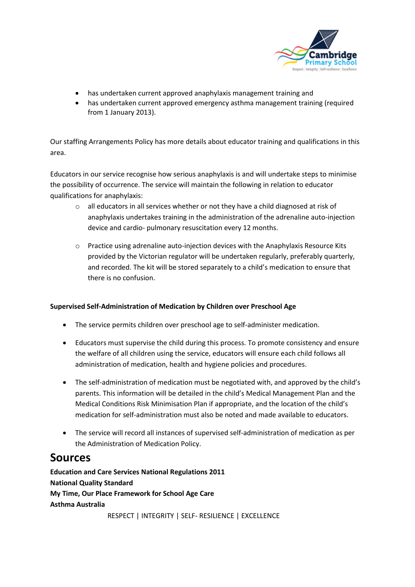

- has undertaken current approved anaphylaxis management training and
- has undertaken current approved emergency asthma management training (required from 1 January 2013).

Our staffing Arrangements Policy has more details about educator training and qualifications in this area.

Educators in our service recognise how serious anaphylaxis is and will undertake steps to minimise the possibility of occurrence. The service will maintain the following in relation to educator qualifications for anaphylaxis:

- o all educators in all services whether or not they have a child diagnosed at risk of anaphylaxis undertakes training in the administration of the adrenaline auto-injection device and cardio- pulmonary resuscitation every 12 months.
- o Practice using adrenaline auto-injection devices with the Anaphylaxis Resource Kits provided by the Victorian regulator will be undertaken regularly, preferably quarterly, and recorded. The kit will be stored separately to a child's medication to ensure that there is no confusion.

#### **Supervised Self-Administration of Medication by Children over Preschool Age**

- The service permits children over preschool age to self-administer medication.
- Educators must supervise the child during this process. To promote consistency and ensure the welfare of all children using the service, educators will ensure each child follows all administration of medication, health and hygiene policies and procedures.
- The self-administration of medication must be negotiated with, and approved by the child's parents. This information will be detailed in the child's Medical Management Plan and the Medical Conditions Risk Minimisation Plan if appropriate, and the location of the child's medication for self-administration must also be noted and made available to educators.
- The service will record all instances of supervised self-administration of medication as per the Administration of Medication Policy.

### **Sources**

**Education and Care Services National Regulations 2011 National Quality Standard My Time, Our Place Framework for School Age Care Asthma Australia**